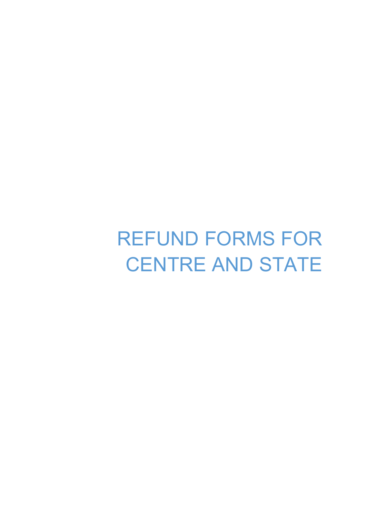REFUND FORMS FOR CENTRE AND STATE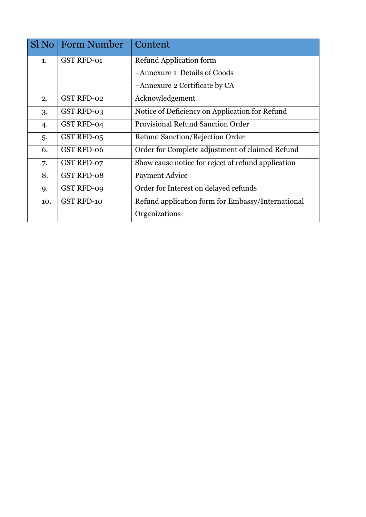|     | Sl No   Form Number | Content                                            |
|-----|---------------------|----------------------------------------------------|
| 1.  | <b>GST RFD-01</b>   | Refund Application form                            |
|     |                     | -Annexure 1 Details of Goods                       |
|     |                     | -Annexure 2 Certificate by CA                      |
| 2.  | <b>GST RFD-02</b>   | Acknowledgement                                    |
| 3.  | GST RFD-03          | Notice of Deficiency on Application for Refund     |
| 4.  | GST RFD-04          | Provisional Refund Sanction Order                  |
| 5.  | GST RFD-05          | Refund Sanction/Rejection Order                    |
| 6.  | <b>GST RFD-06</b>   | Order for Complete adjustment of claimed Refund    |
| 7.  | GST RFD-07          | Show cause notice for reject of refund application |
| 8.  | <b>GST RFD-08</b>   | Payment Advice                                     |
| 9.  | <b>GST RFD-09</b>   | Order for Interest on delayed refunds              |
| 10. | <b>GST RFD-10</b>   | Refund application form for Embassy/International  |
|     |                     | Organizations                                      |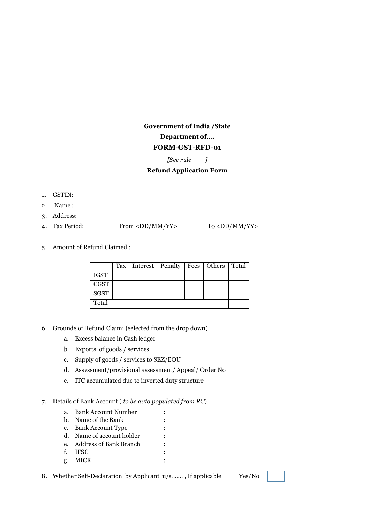## **Government of India /State Department of…. FORM-GST-RFD-01**

#### *[See rule------]*

#### **Refund Application Form**

- 1. GSTIN:
- 2. Name :
- 3. Address:
- 4. Tax Period: From <DD/MM/YY> To <DD/MM/YY>

5. Amount of Refund Claimed :

|             | Tax | Interest   Penalty   Fees   Others   Total |  |  |
|-------------|-----|--------------------------------------------|--|--|
| <b>IGST</b> |     |                                            |  |  |
| <b>CGST</b> |     |                                            |  |  |
| <b>SGST</b> |     |                                            |  |  |
| Total       |     |                                            |  |  |

- 6. Grounds of Refund Claim: (selected from the drop down)
	- a. Excess balance in Cash ledger
	- b. Exports of goods / services
	- c. Supply of goods / services to SEZ/EOU
	- d. Assessment/provisional assessment/ Appeal/ Order No
	- e. ITC accumulated due to inverted duty structure

#### 7. Details of Bank Account ( *to be auto populated from RC*)

- a. Bank Account Number :
- b. Name of the Bank : c. Bank Account Type :
- d. Name of account holder :
- e. Address of Bank Branch :
- f. IFSC :
- g. MICR :
- 8. Whether Self-Declaration by Applicant u/s......., If applicable Yes/No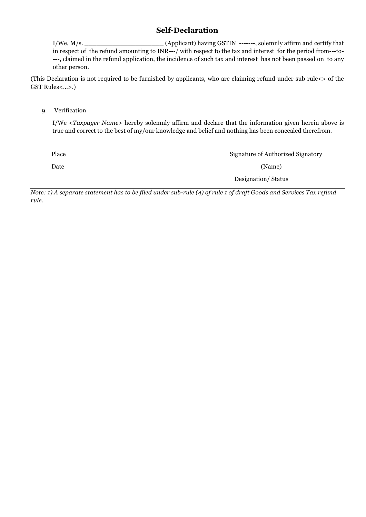## **Self-Declaration**

I/We, M/s. \_\_\_\_\_\_\_\_\_\_\_\_\_\_\_\_\_\_\_\_ (Applicant) having GSTIN -------, solemnly affirm and certify that in respect of the refund amounting to INR---/ with respect to the tax and interest for the period from---to- ---, claimed in the refund application, the incidence of such tax and interest has not been passed on to any other person.

(This Declaration is not required to be furnished by applicants, who are claiming refund under sub rule<> of the GST Rules<…>.)

9. Verification

I/We <*Taxpayer Name*> hereby solemnly affirm and declare that the information given herein above is true and correct to the best of my/our knowledge and belief and nothing has been concealed therefrom.

| Place | Signature of Authorized Signatory |
|-------|-----------------------------------|
| Date  | (Name)                            |
|       | Designation/Status                |

*Note: 1) A separate statement has to be filed under sub-rule (4) of rule 1 of draft Goods and Services Tax refund rule.*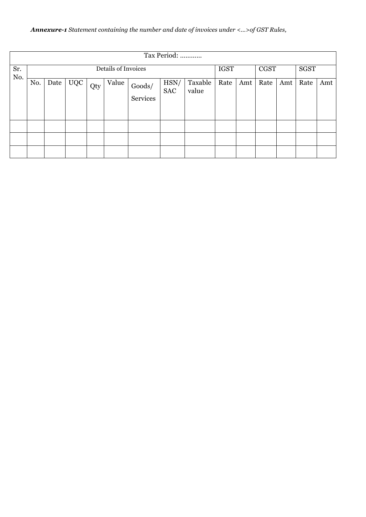## *Annexure-1 Statement containing the number and date of invoices under <…>of GST Rules,*

|            | Tax Period:         |      |            |     |       |                    |                    |                  |      |             |      |     |      |     |
|------------|---------------------|------|------------|-----|-------|--------------------|--------------------|------------------|------|-------------|------|-----|------|-----|
| Sr.<br>No. | Details of Invoices |      |            |     |       | <b>IGST</b>        |                    | <b>CGST</b>      |      | <b>SGST</b> |      |     |      |     |
|            | No.                 | Date | <b>UQC</b> | Qty | Value | Goods/<br>Services | HSN/<br><b>SAC</b> | Taxable<br>value | Rate | Amt         | Rate | Amt | Rate | Amt |
|            |                     |      |            |     |       |                    |                    |                  |      |             |      |     |      |     |
|            |                     |      |            |     |       |                    |                    |                  |      |             |      |     |      |     |
|            |                     |      |            |     |       |                    |                    |                  |      |             |      |     |      |     |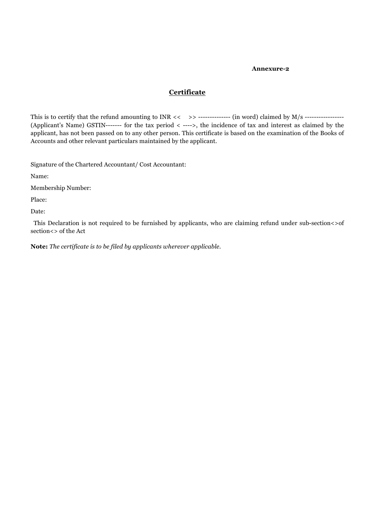#### **Annexure-2**

## **Certificate**

This is to certify that the refund amounting to INR << >> -------------- (in word) claimed by M/s ----------------- (Applicant's Name) GSTIN------- for the tax period < ---->, the incidence of tax and interest as claimed by the applicant, has not been passed on to any other person. This certificate is based on the examination of the Books of Accounts and other relevant particulars maintained by the applicant.

Signature of the Chartered Accountant/ Cost Accountant:

Name:

Membership Number:

Place:

Date:

This Declaration is not required to be furnished by applicants, who are claiming refund under sub-section <>of section<> of the Act

**Note:** *The certificate is to be filed by applicants wherever applicable.*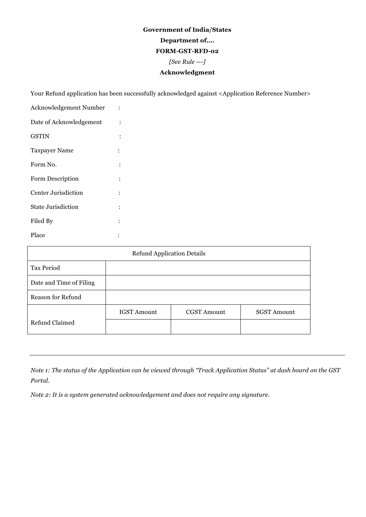## **Government of India/States Department of…. FORM-GST-RFD-02** *[See Rule ---]* **Acknowledgment**

Your Refund application has been successfully acknowledged against <Application Reference Number>

| Acknowledgement Number  |   |
|-------------------------|---|
| Date of Acknowledgement |   |
| GSTIN                   |   |
| <b>Taxpayer Name</b>    |   |
| Form No.                |   |
| Form Description        |   |
| Center Jurisdiction     |   |
| State Jurisdiction      | ٠ |
| Filed By                |   |
| Place                   |   |

| <b>Refund Application Details</b> |                    |                    |                    |  |  |  |
|-----------------------------------|--------------------|--------------------|--------------------|--|--|--|
| Tax Period                        |                    |                    |                    |  |  |  |
| Date and Time of Filing           |                    |                    |                    |  |  |  |
| Reason for Refund                 |                    |                    |                    |  |  |  |
|                                   | <b>IGST Amount</b> | <b>CGST Amount</b> | <b>SGST Amount</b> |  |  |  |
| Refund Claimed                    |                    |                    |                    |  |  |  |

*Note 1: The status of the Application can be viewed through "Track Application Status" at dash board on the GST Portal.*

*Note 2: It is a system generated acknowledgement and does not require any signature.*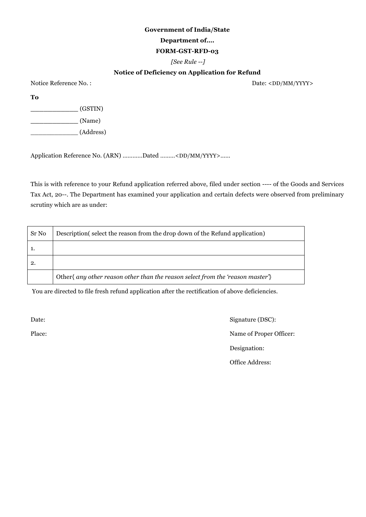#### **Government of India/State**

#### **Department of….**

#### **FORM-GST-RFD-03**

*[See Rule --]*

### **Notice of Deficiency on Application for Refund**

Notice Reference No. : Date: <DD/MM/YYYY>

**To**

**\_\_\_\_\_\_\_\_\_\_\_** (GSTIN)

**\_\_\_\_\_\_\_\_\_\_\_** (Name)

\_\_\_\_\_\_\_\_\_\_\_\_ (Address)

Application Reference No. (ARN) …………Dated ………<DD/MM/YYYY>……

This is with reference to your Refund application referred above, filed under section ---- of the Goods and Services Tax Act, 20--. The Department has examined your application and certain defects were observed from preliminary scrutiny which are as under:

| Sr No | Description (select the reason from the drop down of the Refund application)   |
|-------|--------------------------------------------------------------------------------|
|       |                                                                                |
| 2.    |                                                                                |
|       | Other{ any other reason other than the reason select from the 'reason master'} |

You are directed to file fresh refund application after the rectification of above deficiencies.

Date: Signature (DSC): Place: Name of Proper Officer: Designation: Office Address: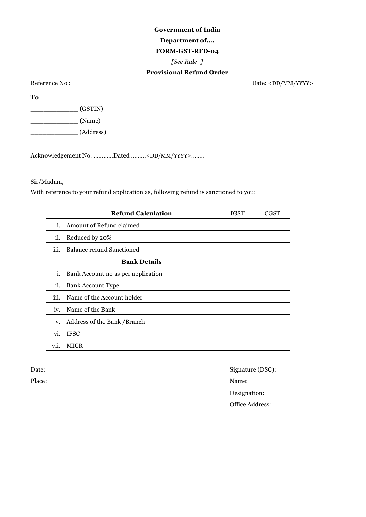# **Government of India Department of….**

## **FORM-GST-RFD-04**

*[See Rule -]*

## **Provisional Refund Order**

Reference No : Date: <DD/MM/YYYY>

**To**

**\_\_\_\_\_\_\_\_\_\_\_** (GSTIN)

**\_\_\_\_\_\_\_\_\_\_\_** (Name)

\_\_\_\_\_\_\_\_\_\_\_\_ (Address)

Acknowledgement No. …………Dated ………<DD/MM/YYYY>……..

### Sir/Madam,

With reference to your refund application as, following refund is sanctioned to you:

|                  | <b>Refund Calculation</b>          | <b>IGST</b> | <b>CGST</b> |
|------------------|------------------------------------|-------------|-------------|
| i.               | Amount of Refund claimed           |             |             |
| ii.              | Reduced by 20%                     |             |             |
| $\cdots$<br>ш.   | <b>Balance refund Sanctioned</b>   |             |             |
|                  | <b>Bank Details</b>                |             |             |
| i.               | Bank Account no as per application |             |             |
| $\ddotsc$<br>ii. | Bank Account Type                  |             |             |
| $\cdots$<br>111. | Name of the Account holder         |             |             |
| iv.              | Name of the Bank                   |             |             |
| v.               | Address of the Bank /Branch        |             |             |
| vi.              | <b>IFSC</b>                        |             |             |
| VII.             | <b>MICR</b>                        |             |             |

Date: Signature (DSC): Place: Name: Designation: Office Address: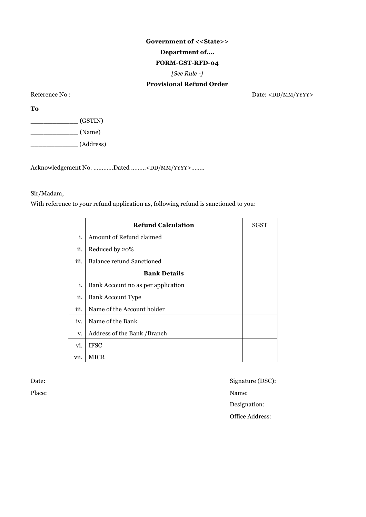## **Government of <<State>> Department of…. FORM-GST-RFD-04** *[See Rule -]* **Provisional Refund Order**

Reference No : Date: <DD/MM/YYYY>

**To**

**\_\_\_\_\_\_\_\_\_\_\_** (GSTIN)

**\_\_\_\_\_\_\_\_\_\_\_** (Name)

\_\_\_\_\_\_\_\_\_\_\_\_ (Address)

Acknowledgement No. …………Dated ………<DD/MM/YYYY>……..

## Sir/Madam,

With reference to your refund application as, following refund is sanctioned to you:

|                | <b>Refund Calculation</b>          | SGST |
|----------------|------------------------------------|------|
| i.             | Amount of Refund claimed           |      |
| ii.            | Reduced by 20%                     |      |
| $\cdots$<br>ш. | <b>Balance refund Sanctioned</b>   |      |
|                | <b>Bank Details</b>                |      |
| i.             | Bank Account no as per application |      |
| ii.            | <b>Bank Account Type</b>           |      |
| iii.           | Name of the Account holder         |      |
| iv.            | Name of the Bank                   |      |
| V.             | Address of the Bank /Branch        |      |
| VI.            | <b>IFSC</b>                        |      |
| vii.           | <b>MICR</b>                        |      |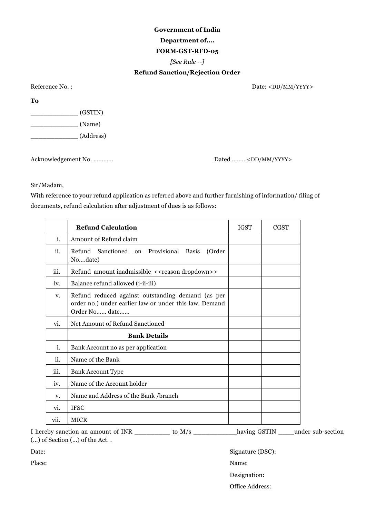### **Department of….**

#### **FORM-GST-RFD-05**

*[See Rule --]*

#### **Refund Sanction/Rejection Order**

Reference No. : Date: <DD/MM/YYYY>

**To**

**\_\_\_\_\_\_\_\_\_\_\_** (GSTIN) **\_\_\_\_\_\_\_\_\_\_\_** (Name) \_\_\_\_\_\_\_\_\_\_\_\_ (Address)

Acknowledgement No. ………… Dated ………<DD/MM/YYYY>

Sir/Madam,

With reference to your refund application as referred above and further furnishing of information/ filing of documents, refund calculation after adjustment of dues is as follows:

|      | <b>Refund Calculation</b>                                                                                                    | <b>IGST</b> | <b>CGST</b> |
|------|------------------------------------------------------------------------------------------------------------------------------|-------------|-------------|
| i.   | Amount of Refund claim                                                                                                       |             |             |
| ii.  | Refund Sanctioned on Provisional Basis<br>(Order<br>Nodate)                                                                  |             |             |
| iii. | Refund amount inadmissible < <reason dropdown="">&gt;</reason>                                                               |             |             |
| iv.  | Balance refund allowed (i-ii-iii)                                                                                            |             |             |
| V.   | Refund reduced against outstanding demand (as per<br>order no.) under earlier law or under this law. Demand<br>Order No date |             |             |
| vi.  | Net Amount of Refund Sanctioned                                                                                              |             |             |
|      | <b>Bank Details</b>                                                                                                          |             |             |
| i.   | Bank Account no as per application                                                                                           |             |             |
| ii.  | Name of the Bank                                                                                                             |             |             |
| iii. | <b>Bank Account Type</b>                                                                                                     |             |             |
| iv.  | Name of the Account holder                                                                                                   |             |             |
| V.   | Name and Address of the Bank /branch                                                                                         |             |             |
| vi.  | <b>IFSC</b>                                                                                                                  |             |             |
| vii. | <b>MICR</b>                                                                                                                  |             |             |

I hereby sanction an amount of INR \_\_\_\_\_\_\_\_\_ to M/s \_\_\_\_\_\_\_\_\_\_\_having GSTIN \_\_\_\_under sub-section (…) of Section (…) of the Act. .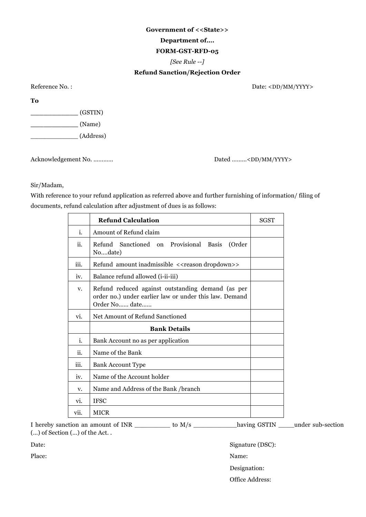#### **Government of <<State>>**

#### **Department of….**

#### **FORM-GST-RFD-05**

*[See Rule --]*

#### **Refund Sanction/Rejection Order**

Reference No. : Date: <DD/MM/YYYY>

**To**

**\_\_\_\_\_\_\_\_\_\_\_** (GSTIN) **\_\_\_\_\_\_\_\_\_\_\_** (Name) \_\_\_\_\_\_\_\_\_\_\_\_ (Address)

Acknowledgement No. ………… Dated ………<DD/MM/YYYY>

Sir/Madam,

With reference to your refund application as referred above and further furnishing of information/ filing of documents, refund calculation after adjustment of dues is as follows:

|      | <b>Refund Calculation</b>                                                                                                    | <b>SGST</b> |
|------|------------------------------------------------------------------------------------------------------------------------------|-------------|
| i.   | Amount of Refund claim                                                                                                       |             |
| ii.  | Refund Sanctioned on Provisional Basis<br>(Order<br>Nodate)                                                                  |             |
| iii. | Refund amount inadmissible < <reason dropdown="">&gt;</reason>                                                               |             |
| iv.  | Balance refund allowed ( <i>i</i> -ii-iii)                                                                                   |             |
| V.   | Refund reduced against outstanding demand (as per<br>order no.) under earlier law or under this law. Demand<br>Order No date |             |
| vi.  | Net Amount of Refund Sanctioned                                                                                              |             |
|      | <b>Bank Details</b>                                                                                                          |             |
| i.   | Bank Account no as per application                                                                                           |             |
| ii.  | Name of the Bank                                                                                                             |             |
| iii. | Bank Account Type                                                                                                            |             |
| iv.  | Name of the Account holder                                                                                                   |             |
| V.   | Name and Address of the Bank /branch                                                                                         |             |
| vi.  | <b>IFSC</b>                                                                                                                  |             |
| vii. | <b>MICR</b>                                                                                                                  |             |

I hereby sanction an amount of INR \_\_\_\_\_\_\_\_\_ to M/s \_\_\_\_\_\_\_\_\_\_\_having GSTIN \_\_\_\_under sub-section (…) of Section (…) of the Act. .

Date: Signature (DSC):

Place: Name: Name: Name: Name: Name: Name: Name: Name: Name: Name: Name: Name: Name: Name: Name: Name: Name: Name: Name: Name: Name: Name: Name: Name: Name: Name: Name: Name: Name: Name: Name: Name: Name: Name: Name: Name:

Designation:

Office Address: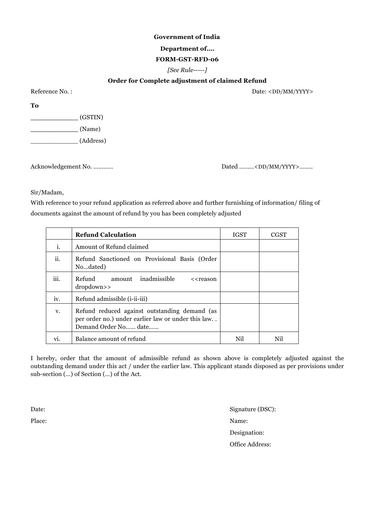#### **Department of….**

#### **FORM-GST-RFD-06**

#### *[See Rule-----]*

#### **Order for Complete adjustment of claimed Refund**

Reference No. :  $Date:$ 

**To**

**\_\_\_\_\_\_\_\_\_\_\_** (GSTIN) **\_\_\_\_\_\_\_\_\_\_\_** (Name) \_\_\_\_\_\_\_\_\_\_\_\_ (Address)

Acknowledgement No. ………… Dated ……… Dated ……… <DD/MM/YYYY>…….

Sir/Madam,

With reference to your refund application as referred above and further furnishing of information/ filing of documents against the amount of refund by you has been completely adjusted

|      | <b>Refund Calculation</b>                                                                                                   | <b>IGST</b> | CGST |
|------|-----------------------------------------------------------------------------------------------------------------------------|-------------|------|
| i.   | Amount of Refund claimed                                                                                                    |             |      |
| ii.  | Refund Sanctioned on Provisional Basis (Order<br>Nodated)                                                                   |             |      |
| iii. | inadmissible<br>Refund<br>amount<br>< <reason<br>dropdown&gt;&gt;</reason<br>                                               |             |      |
| iv.  | Refund admissible ( <i>i</i> -ii-iii)                                                                                       |             |      |
| v.   | Refund reduced against outstanding demand (as<br>per order no.) under earlier law or under this law<br>Demand Order No date |             |      |
| vi.  | Balance amount of refund                                                                                                    | Nil         | Nil  |

I hereby, order that the amount of admissible refund as shown above is completely adjusted against the outstanding demand under this act / under the earlier law. This applicant stands disposed as per provisions under sub-section (…) of Section (…) of the Act.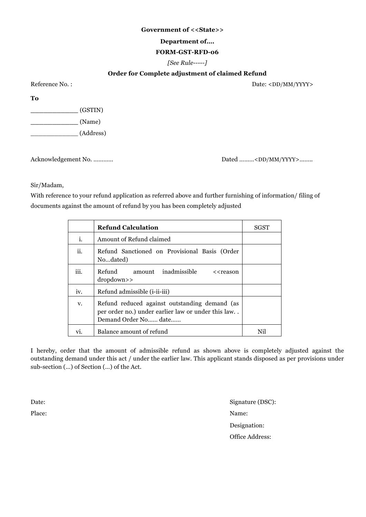#### **Government of <<State>>**

#### **Department of….**

#### **FORM-GST-RFD-06**

#### *[See Rule-----]*

#### **Order for Complete adjustment of claimed Refund**

Reference No. : Date: <DD/MM/YYYY>

**To**

**\_\_\_\_\_\_\_\_\_\_\_** (GSTIN) **\_\_\_\_\_\_\_\_\_\_\_** (Name) \_\_\_\_\_\_\_\_\_\_\_\_ (Address)

Acknowledgement No. ………… Dated ………<DD/MM/YYYY>……..

Sir/Madam,

With reference to your refund application as referred above and further furnishing of information/ filing of documents against the amount of refund by you has been completely adjusted

|      | <b>Refund Calculation</b>                                                                                                   | <b>SGST</b> |
|------|-----------------------------------------------------------------------------------------------------------------------------|-------------|
| i.   | Amount of Refund claimed                                                                                                    |             |
| ii.  | Refund Sanctioned on Provisional Basis (Order<br>Nodated)                                                                   |             |
| iii. | Refund<br>amount inadmissible<br>< <reason<br>dropdown&gt;&gt;</reason<br>                                                  |             |
| iv.  | Refund admissible ( <i>i</i> -ii-iii)                                                                                       |             |
| V.   | Refund reduced against outstanding demand (as<br>per order no.) under earlier law or under this law<br>Demand Order No date |             |
| vı.  | Balance amount of refund                                                                                                    |             |

I hereby, order that the amount of admissible refund as shown above is completely adjusted against the outstanding demand under this act / under the earlier law. This applicant stands disposed as per provisions under sub-section (…) of Section (…) of the Act.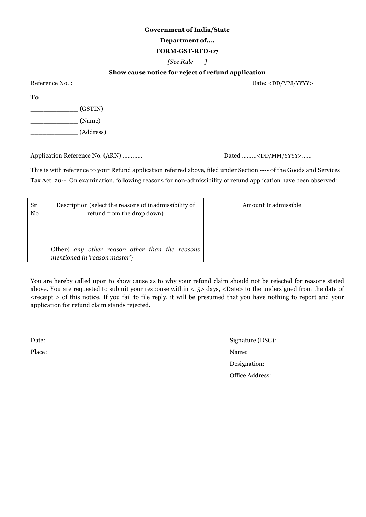#### **Government of India/State**

#### **Department of….**

#### **FORM-GST-RFD-07**

#### *[See Rule-----]*

### **Show cause notice for reject of refund application**

Reference No. : Date: <DD/MM/YYYY>

**To**

**\_\_\_\_\_\_\_\_\_\_\_** (GSTIN)

**\_\_\_\_\_\_\_\_\_\_\_** (Name)

\_\_\_\_\_\_\_\_\_\_\_\_ (Address)

Application Reference No. (ARN) ………… Dated ………<DD/MM/YYYY>……

This is with reference to your Refund application referred above, filed under Section ---- of the Goods and Services Tax Act, 20--. On examination, following reasons for non-admissibility of refund application have been observed:

| Sr<br>No | Description (select the reasons of inadmissibility of<br>refund from the drop down) | Amount Inadmissible |
|----------|-------------------------------------------------------------------------------------|---------------------|
|          |                                                                                     |                     |
|          |                                                                                     |                     |
|          | Other{ any other reason other than the reasons<br>mentioned in 'reason master'}     |                     |

You are hereby called upon to show cause as to why your refund claim should not be rejected for reasons stated above. You are requested to submit your response within <15> days, <Date> to the undersigned from the date of <receipt > of this notice. If you fail to file reply, it will be presumed that you have nothing to report and your application for refund claim stands rejected.

Date: Signature (DSC): Place: Name: Designation: Office Address: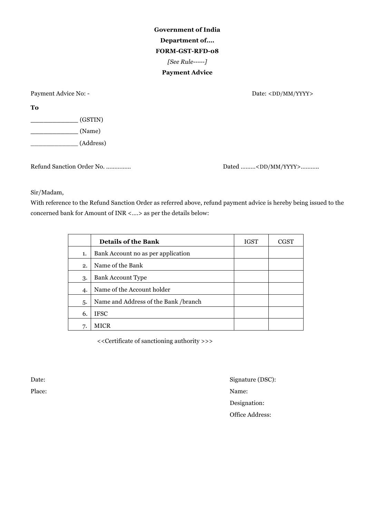**Government of India Department of…. FORM-GST-RFD-08** *[See Rule-----]* **Payment Advice**

Payment Advice No: - Date: <DD/MM/YYYY>

**To**

**\_\_\_\_\_\_\_\_\_\_\_** (GSTIN) **\_\_\_\_\_\_\_\_\_\_\_** (Name) \_\_\_\_\_\_\_\_\_\_\_\_ (Address)

Refund Sanction Order No. …………… Dated ………<DD/MM/YYYY>………..

Sir/Madam,

With reference to the Refund Sanction Order as referred above, refund payment advice is hereby being issued to the concerned bank for Amount of INR <….> as per the details below:

|    | <b>Details of the Bank</b>           | <b>IGST</b> | CGST |
|----|--------------------------------------|-------------|------|
| 1. | Bank Account no as per application   |             |      |
| 2. | Name of the Bank                     |             |      |
| 3. | <b>Bank Account Type</b>             |             |      |
| 4. | Name of the Account holder           |             |      |
| 5. | Name and Address of the Bank /branch |             |      |
| 6. | <b>IFSC</b>                          |             |      |
| 7. | MICR                                 |             |      |

<<Certificate of sanctioning authority >>>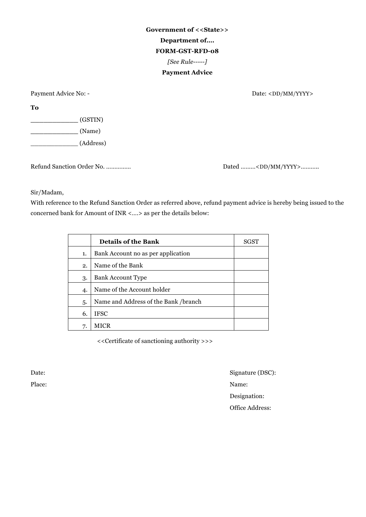**Government of <<State>> Department of…. FORM-GST-RFD-08** *[See Rule-----]* **Payment Advice**

Payment Advice No: - Date: <DD/MM/YYYY>

**To**

**\_\_\_\_\_\_\_\_\_\_\_** (GSTIN) **\_\_\_\_\_\_\_\_\_\_\_** (Name) \_\_\_\_\_\_\_\_\_\_\_\_ (Address)

Refund Sanction Order No. …………… Dated ………<DD/MM/YYYY>………..

Sir/Madam,

With reference to the Refund Sanction Order as referred above, refund payment advice is hereby being issued to the concerned bank for Amount of INR <….> as per the details below:

|                | <b>Details of the Bank</b>           | SGST |
|----------------|--------------------------------------|------|
| 1.             | Bank Account no as per application   |      |
| 2.             | Name of the Bank                     |      |
| 3.             | <b>Bank Account Type</b>             |      |
| $\overline{4}$ | Name of the Account holder           |      |
| 5.             | Name and Address of the Bank /branch |      |
| 6.             | <b>IFSC</b>                          |      |
| 7.             |                                      |      |

<<Certificate of sanctioning authority >>>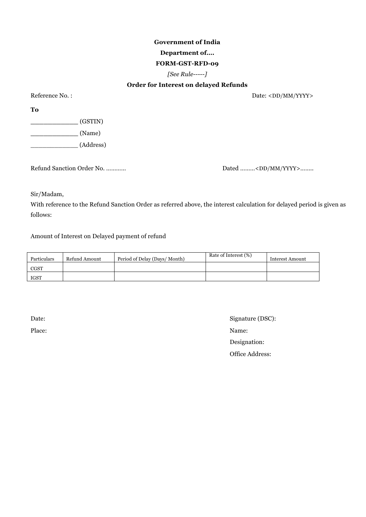## **Department of….**

### **FORM-GST-RFD-09**

#### *[See Rule-----]*

### **Order for Interest on delayed Refunds**

Reference No. : Date: <DD/MM/YYYY>

**To**

**\_\_\_\_\_\_\_\_\_\_\_** (GSTIN) **\_\_\_\_\_\_\_\_\_\_\_** (Name)

\_\_\_\_\_\_\_\_\_\_\_\_ (Address)

Refund Sanction Order No. ………… Dated ………<DD/MM/YYYY>…….

Sir/Madam,

With reference to the Refund Sanction Order as referred above, the interest calculation for delayed period is given as follows:

Amount of Interest on Delayed payment of refund

| Particulars | Refund Amount | Period of Delay (Days/Month) | Rate of Interest (%) | Interest Amount |
|-------------|---------------|------------------------------|----------------------|-----------------|
| <b>CGST</b> |               |                              |                      |                 |
| <b>IGST</b> |               |                              |                      |                 |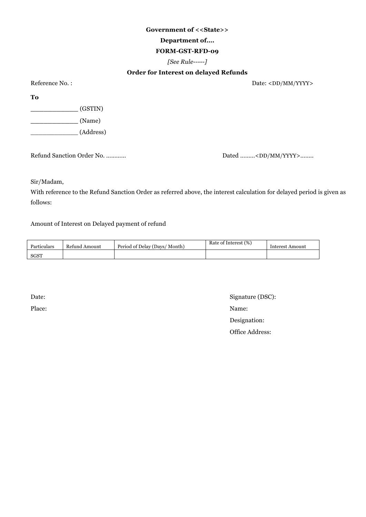#### **Government of <<State>>**

#### **Department of….**

#### **FORM-GST-RFD-09**

#### *[See Rule-----]*

### **Order for Interest on delayed Refunds**

Reference No. : Date: <DD/MM/YYYY>

**To**

**\_\_\_\_\_\_\_\_\_\_\_** (GSTIN)

**\_\_\_\_\_\_\_\_\_\_\_** (Name)

\_\_\_\_\_\_\_\_\_\_\_\_ (Address)

Refund Sanction Order No. ………… Dated ………<DD/MM/YYYY>…….

Sir/Madam,

With reference to the Refund Sanction Order as referred above, the interest calculation for delayed period is given as follows:

Amount of Interest on Delayed payment of refund

| Particulars | Refund Amount | Period of Delay (Days/ Month) | Rate of Interest (%) | Interest Amount |
|-------------|---------------|-------------------------------|----------------------|-----------------|
| <b>SGST</b> |               |                               |                      |                 |